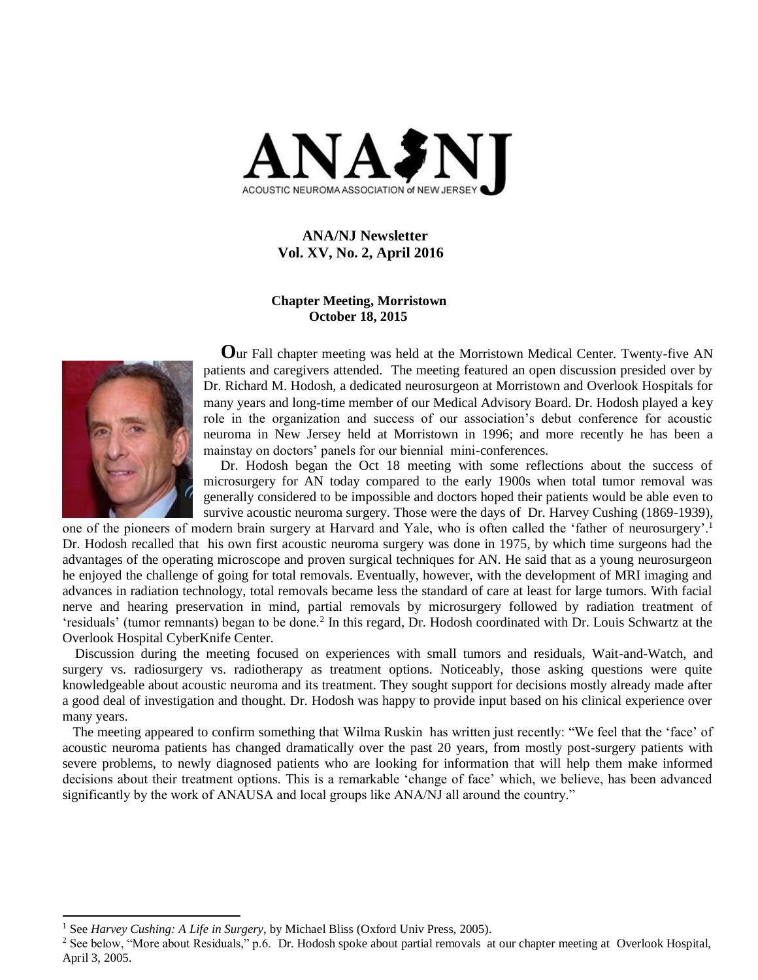

 **ANA/NJ Newsletter Vol. XV, No. 2, April 2016**

### **Chapter Meeting, Morristown October 18, 2015**



l

 **O**ur Fall chapter meeting was held at the Morristown Medical Center. Twenty-five AN patients and caregivers attended. The meeting featured an open discussion presided over by Dr. Richard M. Hodosh, a dedicated neurosurgeon at Morristown and Overlook Hospitals for many years and long-time member of our Medical Advisory Board. Dr. Hodosh played a key role in the organization and success of our association's debut conference for acoustic neuroma in New Jersey held at Morristown in 1996; and more recently he has been a mainstay on doctors' panels for our biennial mini-conferences.

 Dr. Hodosh began the Oct 18 meeting with some reflections about the success of microsurgery for AN today compared to the early 1900s when total tumor removal was generally considered to be impossible and doctors hoped their patients would be able even to survive acoustic neuroma surgery. Those were the days of Dr. Harvey Cushing (1869-1939),

one of the pioneers of modern brain surgery at Harvard and Yale, who is often called the 'father of neurosurgery'.<sup>1</sup> Dr. Hodosh recalled that his own first acoustic neuroma surgery was done in 1975, by which time surgeons had the advantages of the operating microscope and proven surgical techniques for AN. He said that as a young neurosurgeon he enjoyed the challenge of going for total removals. Eventually, however, with the development of MRI imaging and advances in radiation technology, total removals became less the standard of care at least for large tumors. With facial nerve and hearing preservation in mind, partial removals by microsurgery followed by radiation treatment of 'residuals' (tumor remnants) began to be done.<sup>2</sup> In this regard, Dr. Hodosh coordinated with Dr. Louis Schwartz at the Overlook Hospital CyberKnife Center.

 Discussion during the meeting focused on experiences with small tumors and residuals, Wait-and-Watch, and surgery vs. radiosurgery vs. radiotherapy as treatment options. Noticeably, those asking questions were quite knowledgeable about acoustic neuroma and its treatment. They sought support for decisions mostly already made after a good deal of investigation and thought. Dr. Hodosh was happy to provide input based on his clinical experience over many years.

 The meeting appeared to confirm something that Wilma Ruskin has written just recently: "We feel that the 'face' of acoustic neuroma patients has changed dramatically over the past 20 years, from mostly post-surgery patients with severe problems, to newly diagnosed patients who are looking for information that will help them make informed decisions about their treatment options. This is a remarkable 'change of face' which, we believe, has been advanced significantly by the work of ANAUSA and local groups like ANA/NJ all around the country."

<sup>1</sup> See *Harvey Cushing: A Life in Surgery*, by Michael Bliss (Oxford Univ Press, 2005).

<sup>&</sup>lt;sup>2</sup> See below, "More about Residuals," p.6. Dr. Hodosh spoke about partial removals at our chapter meeting at Overlook Hospital, April 3, 2005.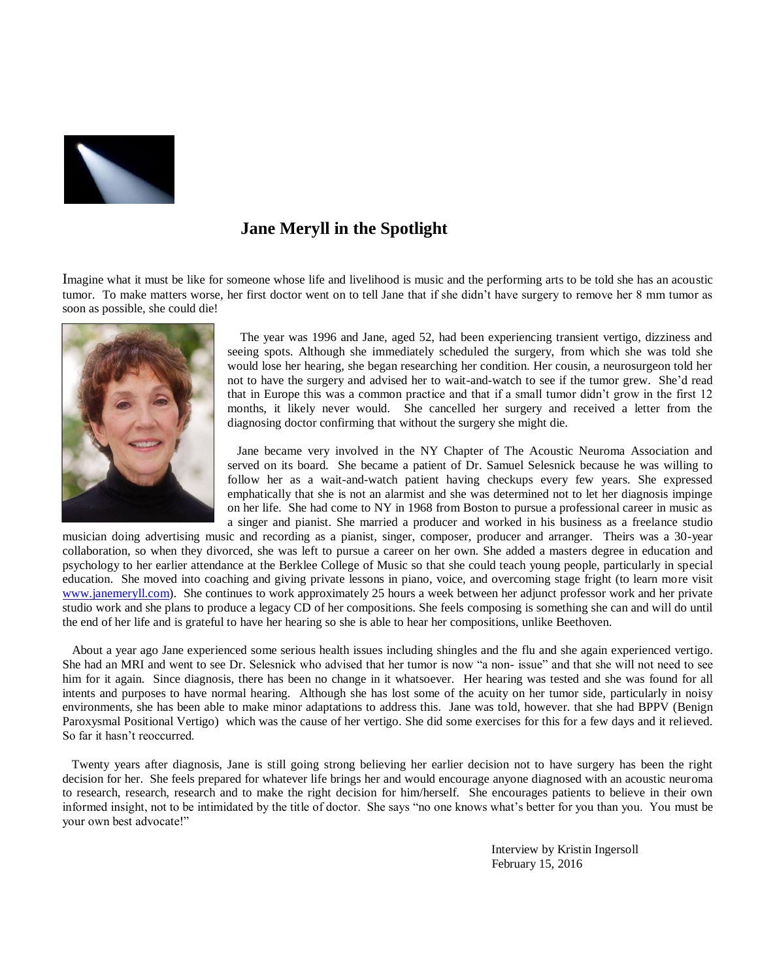

## **Jane Meryll in the Spotlight**

Imagine what it must be like for someone whose life and livelihood is music and the performing arts to be told she has an acoustic tumor. To make matters worse, her first doctor went on to tell Jane that if she didn't have surgery to remove her 8 mm tumor as soon as possible, she could die!



 The year was 1996 and Jane, aged 52, had been experiencing transient vertigo, dizziness and seeing spots. Although she immediately scheduled the surgery, from which she was told she would lose her hearing, she began researching her condition. Her cousin, a neurosurgeon told her not to have the surgery and advised her to wait-and-watch to see if the tumor grew. She'd read that in Europe this was a common practice and that if a small tumor didn't grow in the first 12 months, it likely never would. She cancelled her surgery and received a letter from the diagnosing doctor confirming that without the surgery she might die.

 Jane became very involved in the NY Chapter of The Acoustic Neuroma Association and served on its board. She became a patient of Dr. Samuel Selesnick because he was willing to follow her as a wait-and-watch patient having checkups every few years. She expressed emphatically that she is not an alarmist and she was determined not to let her diagnosis impinge on her life. She had come to NY in 1968 from Boston to pursue a professional career in music as a singer and pianist. She married a producer and worked in his business as a freelance studio

musician doing advertising music and recording as a pianist, singer, composer, producer and arranger. Theirs was a 30-year collaboration, so when they divorced, she was left to pursue a career on her own. She added a masters degree in education and psychology to her earlier attendance at the Berklee College of Music so that she could teach young people, particularly in special education. She moved into coaching and giving private lessons in piano, voice, and overcoming stage fright (to learn more visit [www.janemeryll.com\)](http://www.janemeryll.com/). She continues to work approximately 25 hours a week between her adjunct professor work and her private studio work and she plans to produce a legacy CD of her compositions. She feels composing is something she can and will do until the end of her life and is grateful to have her hearing so she is able to hear her compositions, unlike Beethoven.

 About a year ago Jane experienced some serious health issues including shingles and the flu and she again experienced vertigo. She had an MRI and went to see Dr. Selesnick who advised that her tumor is now "a non- issue" and that she will not need to see him for it again. Since diagnosis, there has been no change in it whatsoever. Her hearing was tested and she was found for all intents and purposes to have normal hearing. Although she has lost some of the acuity on her tumor side, particularly in noisy environments, she has been able to make minor adaptations to address this. Jane was told, however. that she had BPPV (Benign Paroxysmal Positional Vertigo) which was the cause of her vertigo. She did some exercises for this for a few days and it relieved. So far it hasn't reoccurred.

 Twenty years after diagnosis, Jane is still going strong believing her earlier decision not to have surgery has been the right decision for her. She feels prepared for whatever life brings her and would encourage anyone diagnosed with an acoustic neuroma to research, research, research and to make the right decision for him/herself. She encourages patients to believe in their own informed insight, not to be intimidated by the title of doctor. She says "no one knows what's better for you than you. You must be your own best advocate!"

> Interview by Kristin Ingersoll February 15, 2016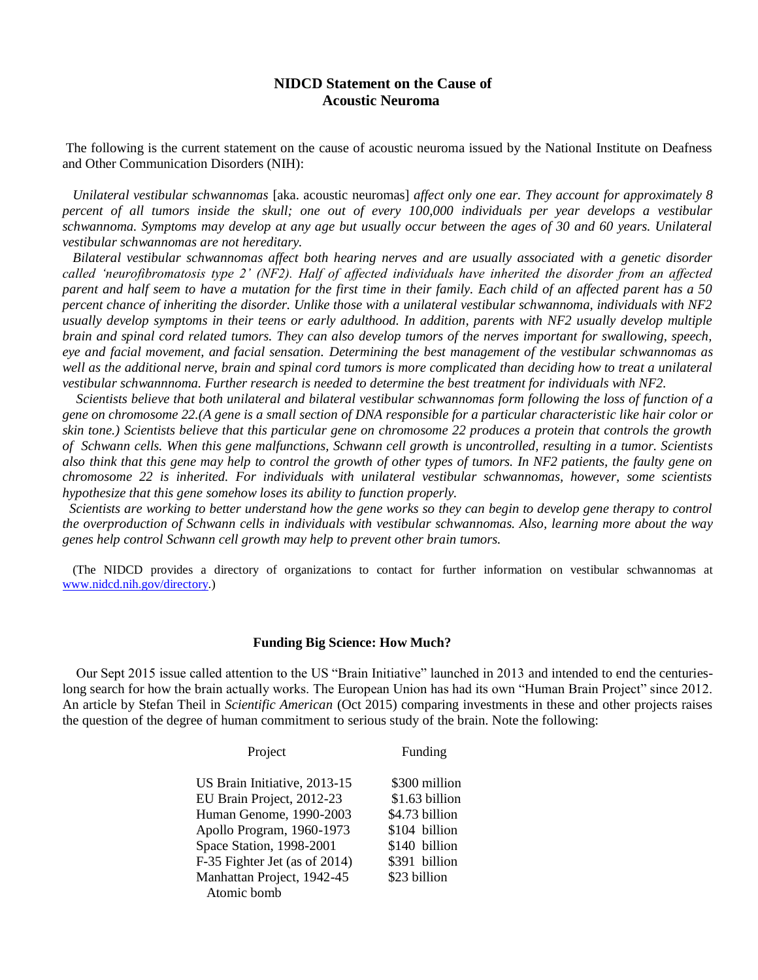## **NIDCD Statement on the Cause of Acoustic Neuroma**

The following is the current statement on the cause of acoustic neuroma issued by the National Institute on Deafness and Other Communication Disorders (NIH):

 *Unilateral vestibular schwannomas* [aka. acoustic neuromas] *affect only one ear. They account for approximately 8*  percent of all tumors inside the skull; one out of every 100,000 individuals per year develops a vestibular *schwannoma. Symptoms may develop at any age but usually occur between the ages of 30 and 60 years. Unilateral vestibular schwannomas are not hereditary.*

 *Bilateral vestibular schwannomas affect both hearing nerves and are usually associated with a genetic disorder called 'neurofibromatosis type 2' (NF2). Half of affected individuals have inherited the disorder from an affected parent and half seem to have a mutation for the first time in their family. Each child of an affected parent has a 50 percent chance of inheriting the disorder. Unlike those with a unilateral vestibular schwannoma, individuals with NF2 usually develop symptoms in their teens or early adulthood. In addition, parents with NF2 usually develop multiple brain and spinal cord related tumors. They can also develop tumors of the nerves important for swallowing, speech, eye and facial movement, and facial sensation. Determining the best management of the vestibular schwannomas as well as the additional nerve, brain and spinal cord tumors is more complicated than deciding how to treat a unilateral vestibular schwannnoma. Further research is needed to determine the best treatment for individuals with NF2.*

 *Scientists believe that both unilateral and bilateral vestibular schwannomas form following the loss of function of a gene on chromosome 22.(A gene is a small section of DNA responsible for a particular characteristic like hair color or skin tone.) Scientists believe that this particular gene on chromosome 22 produces a protein that controls the growth of Schwann cells. When this gene malfunctions, Schwann cell growth is uncontrolled, resulting in a tumor. Scientists also think that this gene may help to control the growth of other types of tumors. In NF2 patients, the faulty gene on chromosome 22 is inherited. For individuals with unilateral vestibular schwannomas, however, some scientists hypothesize that this gene somehow loses its ability to function properly.* 

 *Scientists are working to better understand how the gene works so they can begin to develop gene therapy to control the overproduction of Schwann cells in individuals with vestibular schwannomas. Also, learning more about the way genes help control Schwann cell growth may help to prevent other brain tumors.*

 (The NIDCD provides a directory of organizations to contact for further information on vestibular schwannomas at [www.nidcd.nih.gov/directory.\)](http://www.nidcd.nih.gov/directory)

#### **Funding Big Science: How Much?**

 Our Sept 2015 issue called attention to the US "Brain Initiative" launched in 2013 and intended to end the centurieslong search for how the brain actually works. The European Union has had its own "Human Brain Project" since 2012. An article by Stefan Theil in *Scientific American* (Oct 2015) comparing investments in these and other projects raises the question of the degree of human commitment to serious study of the brain. Note the following:

| Project                                   | Funding        |
|-------------------------------------------|----------------|
| US Brain Initiative, 2013-15              | \$300 million  |
| EU Brain Project, 2012-23                 | \$1.63 billion |
| Human Genome, 1990-2003                   | \$4.73 billion |
| Apollo Program, 1960-1973                 | \$104 billion  |
| Space Station, 1998-2001                  | \$140 billion  |
| F-35 Fighter Jet (as of 2014)             | \$391 billion  |
| Manhattan Project, 1942-45<br>Atomic bomb | \$23 billion   |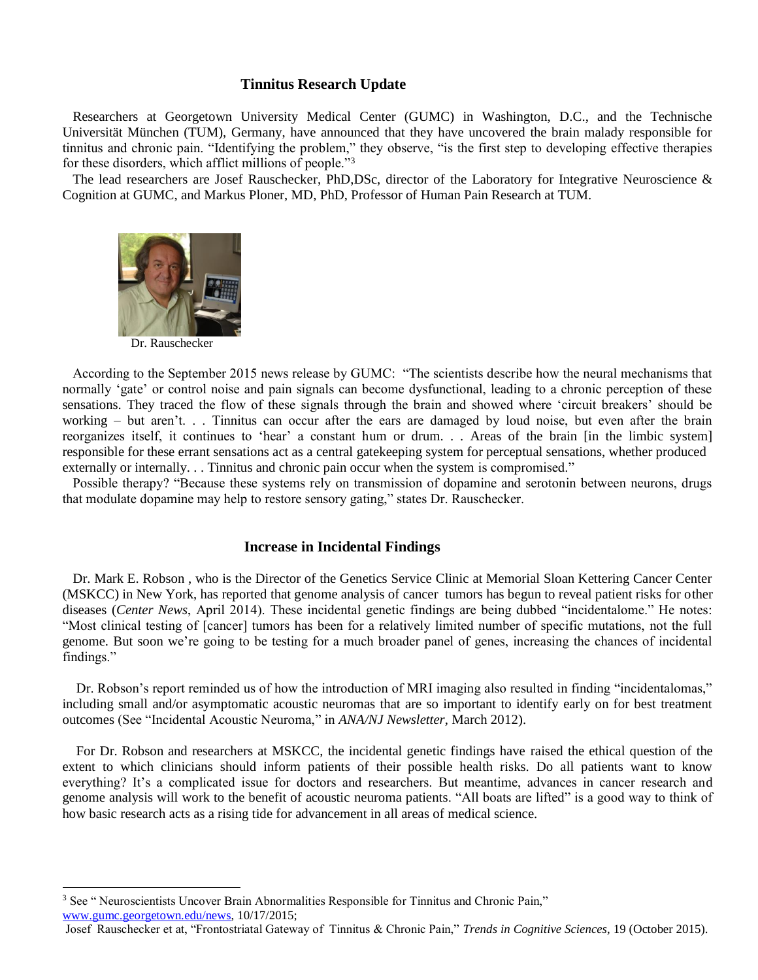#### **Tinnitus Research Update**

 Researchers at Georgetown University Medical Center (GUMC) in Washington, D.C., and the Technische Universität München (TUM), Germany, have announced that they have uncovered the brain malady responsible for tinnitus and chronic pain. "Identifying the problem," they observe, "is the first step to developing effective therapies for these disorders, which afflict millions of people."<sup>3</sup>

The lead researchers are Josef Rauschecker, PhD,DSc, director of the Laboratory for Integrative Neuroscience & Cognition at GUMC, and Markus Ploner, MD, PhD, Professor of Human Pain Research at TUM.



Dr. Rauschecker

 According to the September 2015 news release by GUMC: "The scientists describe how the neural mechanisms that normally 'gate' or control noise and pain signals can become dysfunctional, leading to a chronic perception of these sensations. They traced the flow of these signals through the brain and showed where 'circuit breakers' should be working – but aren't. . . Tinnitus can occur after the ears are damaged by loud noise, but even after the brain reorganizes itself, it continues to 'hear' a constant hum or drum. . . Areas of the brain [in the limbic system] responsible for these errant sensations act as a central gatekeeping system for perceptual sensations, whether produced externally or internally. . . Tinnitus and chronic pain occur when the system is compromised."

 Possible therapy? "Because these systems rely on transmission of dopamine and serotonin between neurons, drugs that modulate dopamine may help to restore sensory gating," states Dr. Rauschecker.

### **Increase in Incidental Findings**

 Dr. Mark E. Robson , who is the Director of the Genetics Service Clinic at Memorial Sloan Kettering Cancer Center (MSKCC) in New York, has reported that genome analysis of cancer tumors has begun to reveal patient risks for other diseases (*Center News*, April 2014). These incidental genetic findings are being dubbed "incidentalome." He notes: "Most clinical testing of [cancer] tumors has been for a relatively limited number of specific mutations, not the full genome. But soon we're going to be testing for a much broader panel of genes, increasing the chances of incidental findings."

 Dr. Robson's report reminded us of how the introduction of MRI imaging also resulted in finding "incidentalomas," including small and/or asymptomatic acoustic neuromas that are so important to identify early on for best treatment outcomes (See "Incidental Acoustic Neuroma," in *ANA/NJ Newsletter*, March 2012).

 For Dr. Robson and researchers at MSKCC, the incidental genetic findings have raised the ethical question of the extent to which clinicians should inform patients of their possible health risks. Do all patients want to know everything? It's a complicated issue for doctors and researchers. But meantime, advances in cancer research and genome analysis will work to the benefit of acoustic neuroma patients. "All boats are lifted" is a good way to think of how basic research acts as a rising tide for advancement in all areas of medical science.

l

<sup>&</sup>lt;sup>3</sup> See " Neuroscientists Uncover Brain Abnormalities Responsible for Tinnitus and Chronic Pain,"

[www.gumc.georgetown.edu/news,](http://www.gumc.georgetown.edu/news) 10/17/2015;

Josef Rauschecker et at, "Frontostriatal Gateway of Tinnitus & Chronic Pain," *Trends in Cognitive Sciences*, 19 (October 2015).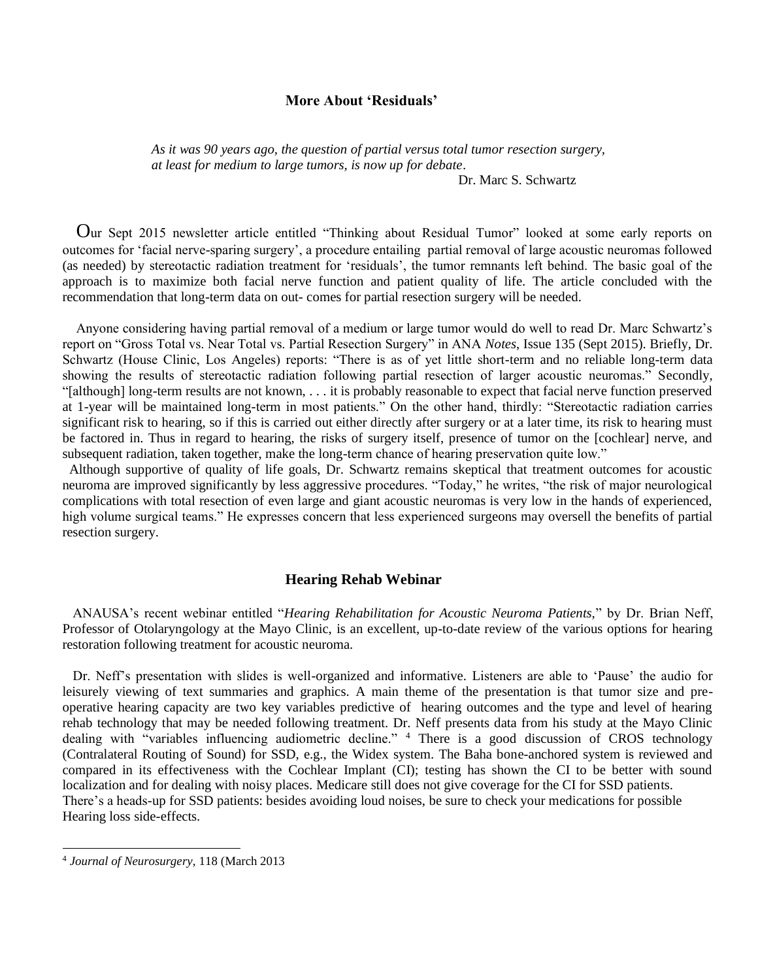### **More About 'Residuals'**

*As it was 90 years ago, the question of partial versus total tumor resection surgery, at least for medium to large tumors, is now up for debate*.

Dr. Marc S. Schwartz

 Our Sept 2015 newsletter article entitled "Thinking about Residual Tumor" looked at some early reports on outcomes for 'facial nerve-sparing surgery', a procedure entailing partial removal of large acoustic neuromas followed (as needed) by stereotactic radiation treatment for 'residuals', the tumor remnants left behind. The basic goal of the approach is to maximize both facial nerve function and patient quality of life. The article concluded with the recommendation that long-term data on out- comes for partial resection surgery will be needed.

 Anyone considering having partial removal of a medium or large tumor would do well to read Dr. Marc Schwartz's report on "Gross Total vs. Near Total vs. Partial Resection Surgery" in ANA *Notes*, Issue 135 (Sept 2015). Briefly, Dr. Schwartz (House Clinic, Los Angeles) reports: "There is as of yet little short-term and no reliable long-term data showing the results of stereotactic radiation following partial resection of larger acoustic neuromas." Secondly, "[although] long-term results are not known, . . . it is probably reasonable to expect that facial nerve function preserved at 1-year will be maintained long-term in most patients." On the other hand, thirdly: "Stereotactic radiation carries significant risk to hearing, so if this is carried out either directly after surgery or at a later time, its risk to hearing must be factored in. Thus in regard to hearing, the risks of surgery itself, presence of tumor on the [cochlear] nerve, and subsequent radiation, taken together, make the long-term chance of hearing preservation quite low."

 Although supportive of quality of life goals, Dr. Schwartz remains skeptical that treatment outcomes for acoustic neuroma are improved significantly by less aggressive procedures. "Today," he writes, "the risk of major neurological complications with total resection of even large and giant acoustic neuromas is very low in the hands of experienced, high volume surgical teams." He expresses concern that less experienced surgeons may oversell the benefits of partial resection surgery.

#### **Hearing Rehab Webinar**

 ANAUSA's recent webinar entitled "*Hearing Rehabilitation for Acoustic Neuroma Patients,*" by Dr. Brian Neff, Professor of Otolaryngology at the Mayo Clinic, is an excellent, up-to-date review of the various options for hearing restoration following treatment for acoustic neuroma.

 Dr. Neff's presentation with slides is well-organized and informative. Listeners are able to 'Pause' the audio for leisurely viewing of text summaries and graphics. A main theme of the presentation is that tumor size and preoperative hearing capacity are two key variables predictive of hearing outcomes and the type and level of hearing rehab technology that may be needed following treatment. Dr. Neff presents data from his study at the Mayo Clinic dealing with "variables influencing audiometric decline." <sup>4</sup> There is a good discussion of CROS technology (Contralateral Routing of Sound) for SSD, e.g., the Widex system. The Baha bone-anchored system is reviewed and compared in its effectiveness with the Cochlear Implant (CI); testing has shown the CI to be better with sound localization and for dealing with noisy places. Medicare still does not give coverage for the CI for SSD patients. There's a heads-up for SSD patients: besides avoiding loud noises, be sure to check your medications for possible Hearing loss side-effects.

l

<sup>4</sup> *Journal of Neurosurgery*, 118 (March 2013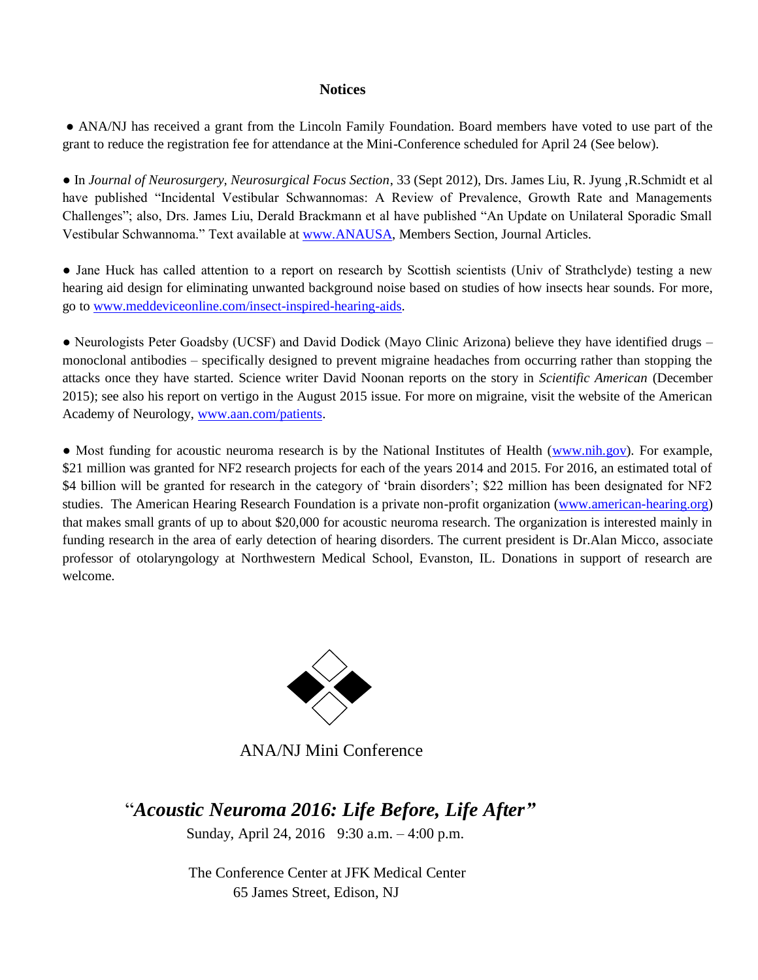## **Notices**

**●** ANA/NJ has received a grant from the Lincoln Family Foundation. Board members have voted to use part of the grant to reduce the registration fee for attendance at the Mini-Conference scheduled for April 24 (See below).

● In *Journal of Neurosurgery, Neurosurgical Focus Section*, 33 (Sept 2012), Drs. James Liu, R. Jyung ,R.Schmidt et al have published "Incidental Vestibular Schwannomas: A Review of Prevalence, Growth Rate and Managements Challenges"; also, Drs. James Liu, Derald Brackmann et al have published "An Update on Unilateral Sporadic Small Vestibular Schwannoma." Text available at [www.ANAUSA,](http://www.anausa/) Members Section, Journal Articles.

● Jane Huck has called attention to a report on research by Scottish scientists (Univ of Strathclyde) testing a new hearing aid design for eliminating unwanted background noise based on studies of how insects hear sounds. For more, go to [www.meddeviceonline.com/insect-inspired-hearing-aids.](http://www.meddeviceonline.com/insect-inspired-hearing-aids)

• Neurologists Peter Goadsby (UCSF) and David Dodick (Mayo Clinic Arizona) believe they have identified drugs – monoclonal antibodies – specifically designed to prevent migraine headaches from occurring rather than stopping the attacks once they have started. Science writer David Noonan reports on the story in *Scientific American* (December 2015); see also his report on vertigo in the August 2015 issue. For more on migraine, visit the website of the American Academy of Neurology, [www.aan.com/patients.](http://www.aan.com/patients)

• Most funding for acoustic neuroma research is by the National Institutes of Health [\(www.nih.gov\)](http://www.nih.gov/). For example, \$21 million was granted for NF2 research projects for each of the years 2014 and 2015. For 2016, an estimated total of \$4 billion will be granted for research in the category of 'brain disorders'; \$22 million has been designated for NF2 studies. The American Hearing Research Foundation is a private non-profit organization [\(www.american-hearing.org\)](http://www.american-hearing.org/) that makes small grants of up to about \$20,000 for acoustic neuroma research. The organization is interested mainly in funding research in the area of early detection of hearing disorders. The current president is Dr.Alan Micco, associate professor of otolaryngology at Northwestern Medical School, Evanston, IL. Donations in support of research are welcome.



# ANA/NJ Mini Conference

# "*Acoustic Neuroma 2016: Life Before, Life After"*

Sunday, April 24, 2016 9:30 a.m. – 4:00 p.m.

 The Conference Center at JFK Medical Center 65 James Street, Edison, NJ